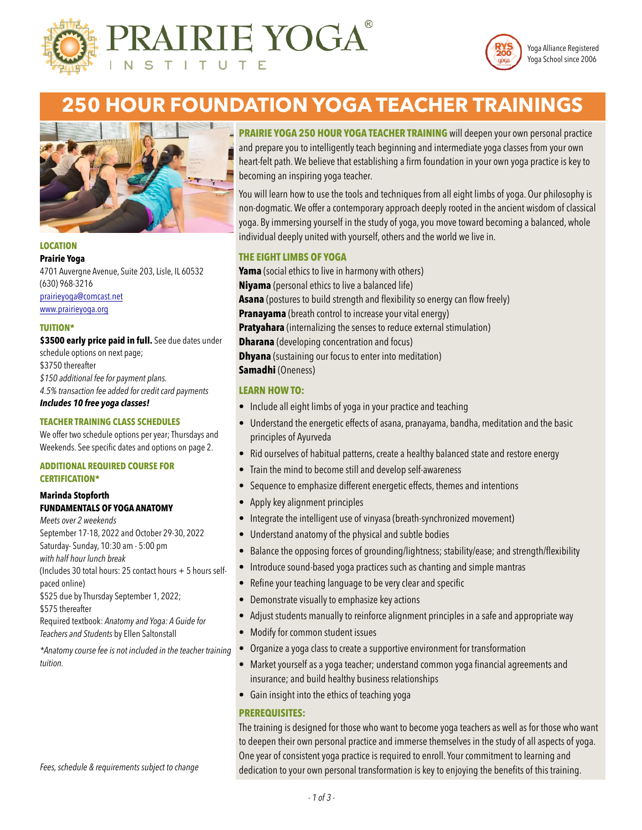

#### **IRIE YOGA** T U  $\top$ S T. т



# **250 HOUR FOUNDATION YOGA TEACHER TRAININGS**



#### **LOCATION Prairie Yoga**

4701 Auvergne Avenue, Suite 203, Lisle, IL 60532 (630) 968-3216 [prairieyoga@comcast.net](mailto:prairieyoga@comcast.net) [www.prairieyoga.org](http://www.prairieyoga.org)

#### **TUITION\***

\$3500 early price paid in full. See due dates under schedule options on next page; \$3750 thereafter *\$150 additional fee for payment plans. 4.5% transaction fee added for credit card payments Includes 10 free yoga classes!*

#### **TEACHER TRAINING CLASS SCHEDULES**

We offer two schedule options per year; Thursdays and Weekends. See specific dates and options on page 2.

#### **ADDITIONAL REQUIRED COURSE FOR CERTIFICATION\***

#### **Marinda Stopforth FUNDAMENTALS OF YOGA ANATOMY**

*Meets over 2 weekends* September 17-18, 2022 and October 29-30, 2022 Saturday- Sunday, 10:30 am - 5:00 pm *with half hour lunch break* (Includes 30 total hours: 25 contact hours + 5 hours selfpaced online) \$525 due by Thursday September 1, 2022; \$575 thereafter Required textbook: *Anatomy and Yoga: A Guide for Teachers and Students* by Ellen Saltonstall

*\*Anatomy course fee is not included in the teacher training tuition.*

*Fees, schedule & requirements subject to change*

**PRAIRIE YOGA 250 HOUR YOGA TEACHER TRAINING** will deepen your own personal practice and prepare you to intelligently teach beginning and intermediate yoga classes from your own heart-felt path. We believe that establishing a firm foundation in your own yoga practice is key to becoming an inspiring yoga teacher.

You will learn how to use the tools and techniques from all eight limbs of yoga. Our philosophy is non-dogmatic. We offer a contemporary approach deeply rooted in the ancient wisdom of classical yoga. By immersing yourself in the study of yoga, you move toward becoming a balanced, whole individual deeply united with yourself, others and the world we live in.

#### **THE EIGHT LIMBS OF YOGA**

**Yama** (social ethics to live in harmony with others) **Niyama** (personal ethics to live a balanced life) **Asana** (postures to build strength and flexibility so energy can flow freely) **Pranayama** (breath control to increase your vital energy) **Pratyahara** (internalizing the senses to reduce external stimulation) **Dharana** (developing concentration and focus) **Dhyana** (sustaining our focus to enter into meditation) **Samadhi** (Oneness)

#### **LEARN HOW TO:**

- Include all eight limbs of yoga in your practice and teaching
- Understand the energetic effects of asana, pranayama, bandha, meditation and the basic principles of Ayurveda
- Rid ourselves of habitual patterns, create a healthy balanced state and restore energy
- Train the mind to become still and develop self-awareness
- Sequence to emphasize different energetic effects, themes and intentions
- Apply key alignment principles
- Integrate the intelligent use of vinyasa (breath-synchronized movement)
- Understand anatomy of the physical and subtle bodies
- Balance the opposing forces of grounding/lightness; stability/ease; and strength/flexibility
- Introduce sound-based yoga practices such as chanting and simple mantras
- Refine your teaching language to be very clear and specific
- Demonstrate visually to emphasize key actions
- Adjust students manually to reinforce alignment principles in a safe and appropriate way
- Modify for common student issues
- Organize a yoga class to create a supportive environment for transformation
- Market yourself as a yoga teacher; understand common yoga financial agreements and insurance; and build healthy business relationships
- Gain insight into the ethics of teaching yoga

#### **PREREQUISITES:**

The training is designed for those who want to become yoga teachers as well as for those who want to deepen their own personal practice and immerse themselves in the study of all aspects of yoga. One year of consistent yoga practice is required to enroll. Your commitment to learning and dedication to your own personal transformation is key to enjoying the benefits of this training.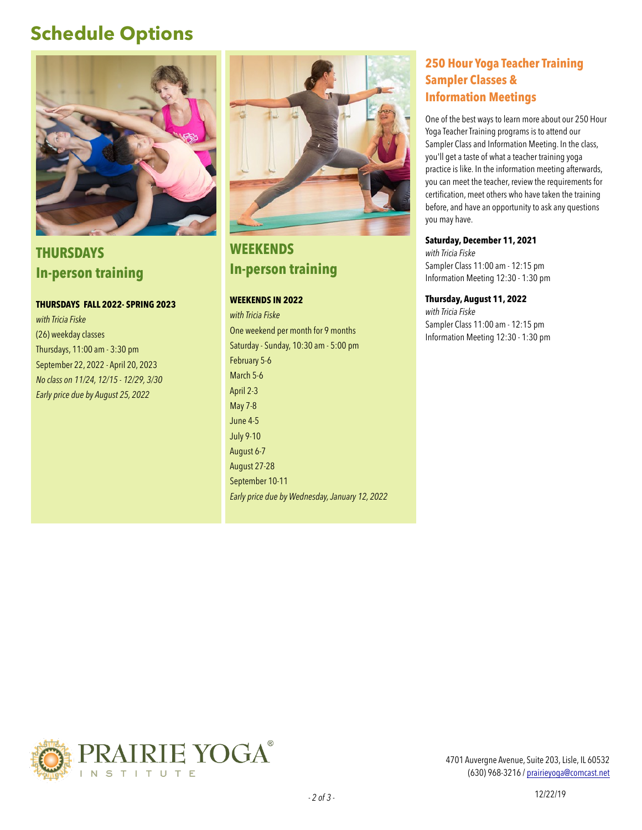# **Schedule Options**



**THURSDAYS In-person training** 

**THURSDAYS FALL 2022- SPRING 2023** 

*with Tricia Fiske* (26) weekday classes Thursdays, 11:00 am - 3:30 pm September 22, 2022 - April 20, 2023 *No class on 11/24, 12/15 - 12/29, 3/30 Early price due by August 25, 2022* 



**WEEKENDS In-person training**

#### **WEEKENDS IN 2022**

*with Tricia Fiske* One weekend per month for 9 months Saturday - Sunday, 10:30 am - 5:00 pm February 5-6 March 5-6 April 2-3 May 7-8 June 4-5 July 9-10 August 6-7 August 27-28 September 10-11 *Early price due by Wednesday, January 12, 2022*

## **250 Hour Yoga Teacher Training Sampler Classes & Information Meetings**

One of the best ways to learn more about our 250 Hour Yoga Teacher Training programs is to attend our Sampler Class and Information Meeting. In the class, you'll get a taste of what a teacher training yoga practice is like. In the information meeting afterwards, you can meet the teacher, review the requirements for certification, meet others who have taken the training before, and have an opportunity to ask any questions you may have.

#### **Saturday, December 11, 2021**

*with Tricia Fiske* Sampler Class 11:00 am - 12:15 pm Information Meeting 12:30 - 1:30 pm

#### **Thursday, August 11, 2022**

*with Tricia Fiske* Sampler Class 11:00 am - 12:15 pm Information Meeting 12:30 - 1:30 pm



4701 Auvergne Avenue, Suite 203, Lisle, IL 60532 (630) 968-3216 / [prairieyoga@comcast.net](mailto:prairieyoga@comcast.net)